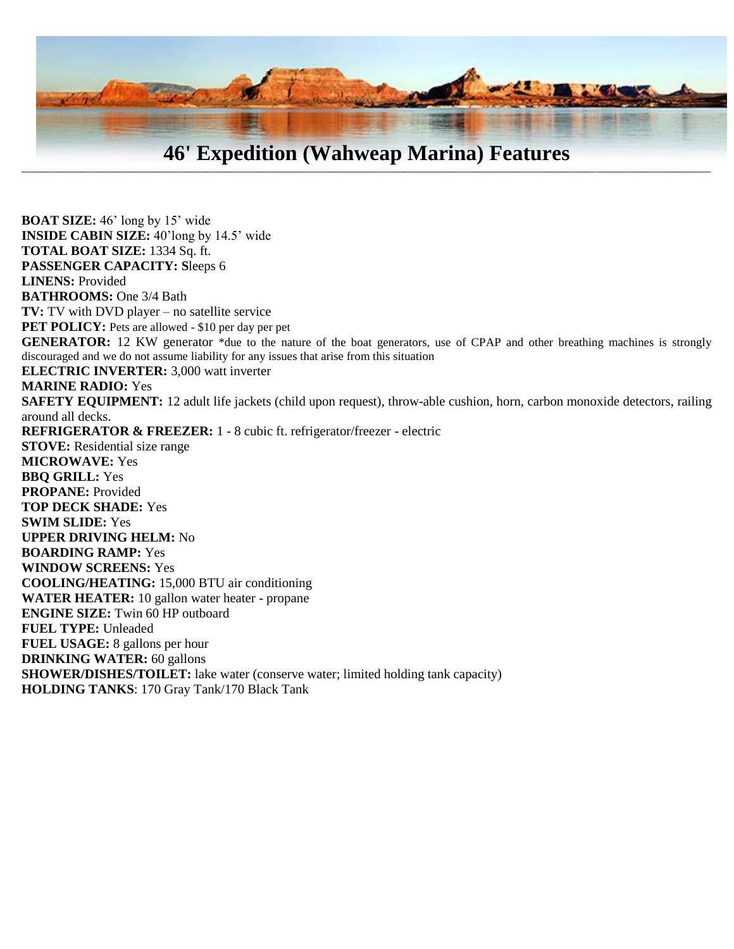

 $\blacksquare$ 

**BOAT SIZE:** 46' long by 15' wide **INSIDE CABIN SIZE:** 40'long by 14.5' wide **TOTAL BOAT SIZE:** 1334 Sq. ft. **PASSENGER CAPACITY: S**leeps 6 **LINENS:** Provided **BATHROOMS:** One 3/4 Bath **TV:** TV with DVD player – no satellite service **PET POLICY:** Pets are allowed - \$10 per day per pet GENERATOR: 12 KW generator \*due to the nature of the boat generators, use of CPAP and other breathing machines is strongly discouraged and we do not assume liability for any issues that arise from this situation **ELECTRIC INVERTER:** 3,000 watt inverter **MARINE RADIO:** Yes **SAFETY EQUIPMENT:** 12 adult life jackets (child upon request), throw-able cushion, horn, carbon monoxide detectors, railing around all decks. **REFRIGERATOR & FREEZER:** 1 - 8 cubic ft. refrigerator/freezer - electric **STOVE:** Residential size range **MICROWAVE:** Yes **BBQ GRILL:** Yes **PROPANE:** Provided **TOP DECK SHADE:** Yes **SWIM SLIDE:** Yes **UPPER DRIVING HELM:** No **BOARDING RAMP:** Yes **WINDOW SCREENS:** Yes **COOLING/HEATING:** 15,000 BTU air conditioning **WATER HEATER:** 10 gallon water heater - propane **ENGINE SIZE:** Twin 60 HP outboard **FUEL TYPE:** Unleaded **FUEL USAGE:** 8 gallons per hour **DRINKING WATER:** 60 gallons **SHOWER/DISHES/TOILET:** lake water (conserve water; limited holding tank capacity) **HOLDING TANKS**: 170 Gray Tank/170 Black Tank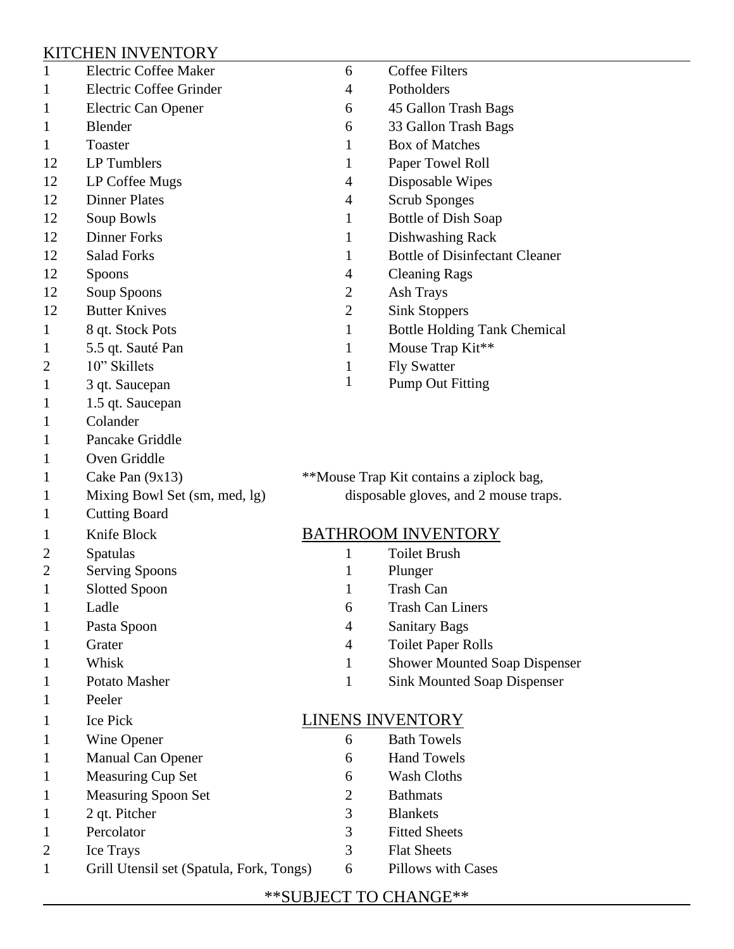## KITCHEN INVENTORY

| 1              | <b>Electric Coffee Maker</b>             | 6                                        | <b>Coffee Filters</b>                 |
|----------------|------------------------------------------|------------------------------------------|---------------------------------------|
| 1              | Electric Coffee Grinder                  | 4                                        | Potholders                            |
| 1              | Electric Can Opener                      | 6                                        | 45 Gallon Trash Bags                  |
| 1              | Blender                                  | 6                                        | 33 Gallon Trash Bags                  |
| 1              | Toaster                                  | 1                                        | <b>Box of Matches</b>                 |
| 12             | LP Tumblers                              | 1                                        | Paper Towel Roll                      |
| 12             | LP Coffee Mugs                           | 4                                        | Disposable Wipes                      |
| 12             | <b>Dinner Plates</b>                     | 4                                        | <b>Scrub Sponges</b>                  |
| 12             | Soup Bowls                               | 1                                        | Bottle of Dish Soap                   |
| 12             | <b>Dinner Forks</b>                      | $\mathbf 1$                              | Dishwashing Rack                      |
| 12             | <b>Salad Forks</b>                       | 1                                        | <b>Bottle of Disinfectant Cleaner</b> |
| 12             | Spoons                                   | 4                                        | <b>Cleaning Rags</b>                  |
| 12             | Soup Spoons                              | 2                                        | <b>Ash Trays</b>                      |
| 12             | <b>Butter Knives</b>                     | $\overline{2}$                           | <b>Sink Stoppers</b>                  |
| 1              | 8 qt. Stock Pots                         | 1                                        | <b>Bottle Holding Tank Chemical</b>   |
| 1              | 5.5 qt. Sauté Pan                        | 1                                        | Mouse Trap Kit**                      |
| 2              | 10" Skillets                             | $\mathbf 1$                              | <b>Fly Swatter</b>                    |
| 1              | 3 qt. Saucepan                           | 1                                        | <b>Pump Out Fitting</b>               |
| 1              | 1.5 qt. Saucepan                         |                                          |                                       |
| 1              | Colander                                 |                                          |                                       |
| 1              | Pancake Griddle                          |                                          |                                       |
| 1              | Oven Griddle                             |                                          |                                       |
| 1              | Cake Pan (9x13)                          | **Mouse Trap Kit contains a ziplock bag, |                                       |
| 1              | Mixing Bowl Set (sm, med, lg)            | disposable gloves, and 2 mouse traps.    |                                       |
| 1              | <b>Cutting Board</b>                     |                                          |                                       |
| 1              | Knife Block                              | <b>BATHROOM INVENTORY</b>                |                                       |
| 2              | Spatulas                                 | 1                                        | <b>Toilet Brush</b>                   |
| $\overline{2}$ | <b>Serving Spoons</b>                    | 1                                        | Plunger                               |
| 1              | <b>Slotted Spoon</b>                     | 1                                        | <b>Trash Can</b>                      |
| 1              | Ladle                                    | 6                                        | <b>Trash Can Liners</b>               |
| 1              | Pasta Spoon                              | 4                                        | <b>Sanitary Bags</b>                  |
| 1              | Grater                                   | 4                                        | <b>Toilet Paper Rolls</b>             |
| 1              | Whisk                                    | $\mathbf{1}$                             | <b>Shower Mounted Soap Dispenser</b>  |
| 1              | Potato Masher                            | 1                                        | <b>Sink Mounted Soap Dispenser</b>    |
| 1              | Peeler                                   |                                          |                                       |
| 1              | <b>Ice Pick</b>                          | <b>LINENS INVENTORY</b>                  |                                       |
| 1              | Wine Opener                              | 6                                        | <b>Bath Towels</b>                    |
| 1              | Manual Can Opener                        | 6                                        | <b>Hand Towels</b>                    |
| 1              | Measuring Cup Set                        | 6                                        | <b>Wash Cloths</b>                    |
| 1              | <b>Measuring Spoon Set</b>               | 2                                        | <b>Bathmats</b>                       |
| 1              | 2 qt. Pitcher                            | 3                                        | <b>Blankets</b>                       |
| 1              | Percolator                               | 3                                        | <b>Fitted Sheets</b>                  |
| 2              | Ice Trays                                | 3                                        | <b>Flat Sheets</b>                    |
| $\mathbf 1$    | Grill Utensil set (Spatula, Fork, Tongs) | 6                                        | <b>Pillows with Cases</b>             |
|                |                                          |                                          |                                       |